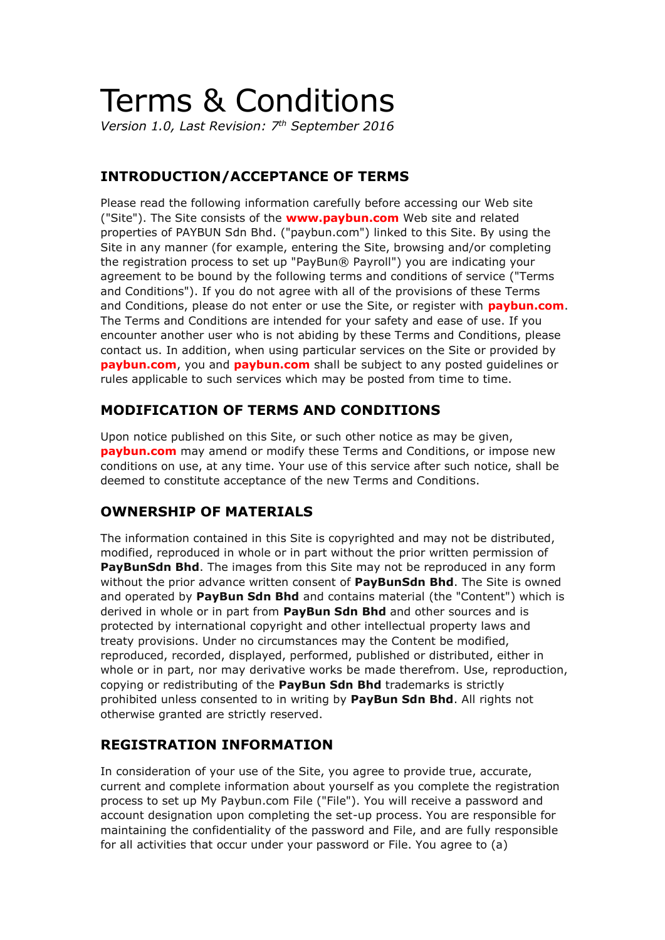# Terms & Conditions

*Version 1.0, Last Revision: 7th September 2016*

## **INTRODUCTION/ACCEPTANCE OF TERMS**

Please read the following information carefully before accessing our Web site ("Site"). The Site consists of the **www.paybun.com** Web site and related properties of PAYBUN Sdn Bhd. ("paybun.com") linked to this Site. By using the Site in any manner (for example, entering the Site, browsing and/or completing the registration process to set up "PayBun® Payroll") you are indicating your agreement to be bound by the following terms and conditions of service ("Terms and Conditions"). If you do not agree with all of the provisions of these Terms and Conditions, please do not enter or use the Site, or register with **paybun.com**. The Terms and Conditions are intended for your safety and ease of use. If you encounter another user who is not abiding by these Terms and Conditions, please contact us. In addition, when using particular services on the Site or provided by **paybun.com**, you and **paybun.com** shall be subject to any posted guidelines or rules applicable to such services which may be posted from time to time.

#### **MODIFICATION OF TERMS AND CONDITIONS**

Upon notice published on this Site, or such other notice as may be given, **paybun.com** may amend or modify these Terms and Conditions, or impose new conditions on use, at any time. Your use of this service after such notice, shall be deemed to constitute acceptance of the new Terms and Conditions.

## **OWNERSHIP OF MATERIALS**

The information contained in this Site is copyrighted and may not be distributed, modified, reproduced in whole or in part without the prior written permission of **PayBunSdn Bhd**. The images from this Site may not be reproduced in any form without the prior advance written consent of **PayBunSdn Bhd**. The Site is owned and operated by **PayBun Sdn Bhd** and contains material (the "Content") which is derived in whole or in part from **PayBun Sdn Bhd** and other sources and is protected by international copyright and other intellectual property laws and treaty provisions. Under no circumstances may the Content be modified, reproduced, recorded, displayed, performed, published or distributed, either in whole or in part, nor may derivative works be made therefrom. Use, reproduction, copying or redistributing of the **PayBun Sdn Bhd** trademarks is strictly prohibited unless consented to in writing by **PayBun Sdn Bhd**. All rights not otherwise granted are strictly reserved.

## **REGISTRATION INFORMATION**

In consideration of your use of the Site, you agree to provide true, accurate, current and complete information about yourself as you complete the registration process to set up My Paybun.com File ("File"). You will receive a password and account designation upon completing the set-up process. You are responsible for maintaining the confidentiality of the password and File, and are fully responsible for all activities that occur under your password or File. You agree to (a)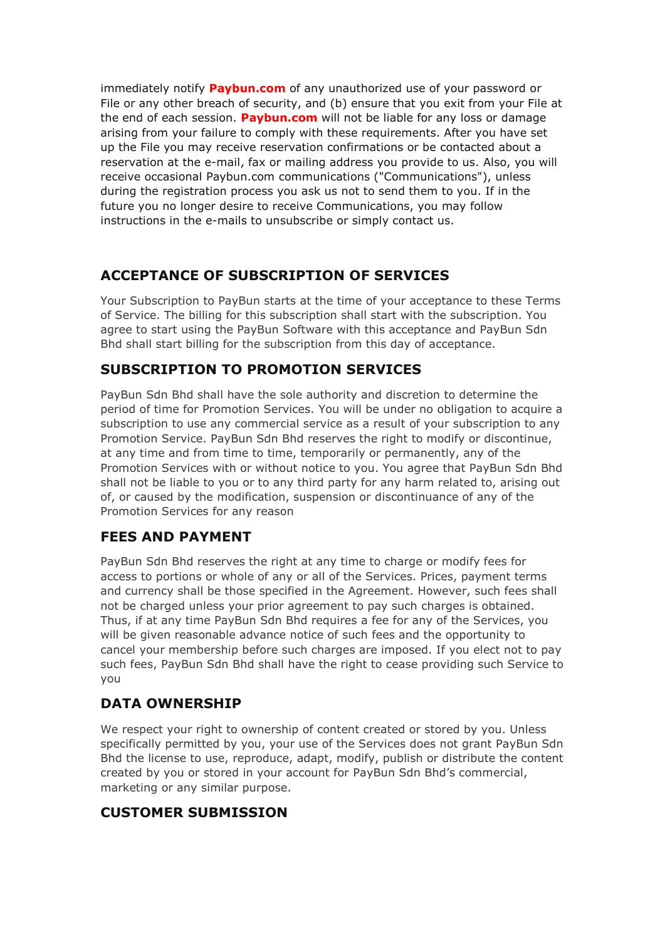immediately notify **Paybun.com** of any unauthorized use of your password or File or any other breach of security, and (b) ensure that you exit from your File at the end of each session. **Paybun.com** will not be liable for any loss or damage arising from your failure to comply with these requirements. After you have set up the File you may receive reservation confirmations or be contacted about a reservation at the e-mail, fax or mailing address you provide to us. Also, you will receive occasional Paybun.com communications ("Communications"), unless during the registration process you ask us not to send them to you. If in the future you no longer desire to receive Communications, you may follow instructions in the e-mails to unsubscribe or simply contact us.

#### **ACCEPTANCE OF SUBSCRIPTION OF SERVICES**

Your Subscription to PayBun starts at the time of your acceptance to these Terms of Service. The billing for this subscription shall start with the subscription. You agree to start using the PayBun Software with this acceptance and PayBun Sdn Bhd shall start billing for the subscription from this day of acceptance.

## **SUBSCRIPTION TO PROMOTION SERVICES**

PayBun Sdn Bhd shall have the sole authority and discretion to determine the period of time for Promotion Services. You will be under no obligation to acquire a subscription to use any commercial service as a result of your subscription to any Promotion Service. PayBun Sdn Bhd reserves the right to modify or discontinue, at any time and from time to time, temporarily or permanently, any of the Promotion Services with or without notice to you. You agree that PayBun Sdn Bhd shall not be liable to you or to any third party for any harm related to, arising out of, or caused by the modification, suspension or discontinuance of any of the Promotion Services for any reason

## **FEES AND PAYMENT**

PayBun Sdn Bhd reserves the right at any time to charge or modify fees for access to portions or whole of any or all of the Services. Prices, payment terms and currency shall be those specified in the Agreement. However, such fees shall not be charged unless your prior agreement to pay such charges is obtained. Thus, if at any time PayBun Sdn Bhd requires a fee for any of the Services, you will be given reasonable advance notice of such fees and the opportunity to cancel your membership before such charges are imposed. If you elect not to pay such fees, PayBun Sdn Bhd shall have the right to cease providing such Service to you

## **DATA OWNERSHIP**

We respect your right to ownership of content created or stored by you. Unless specifically permitted by you, your use of the Services does not grant PayBun Sdn Bhd the license to use, reproduce, adapt, modify, publish or distribute the content created by you or stored in your account for PayBun Sdn Bhd's commercial, marketing or any similar purpose.

#### **CUSTOMER SUBMISSION**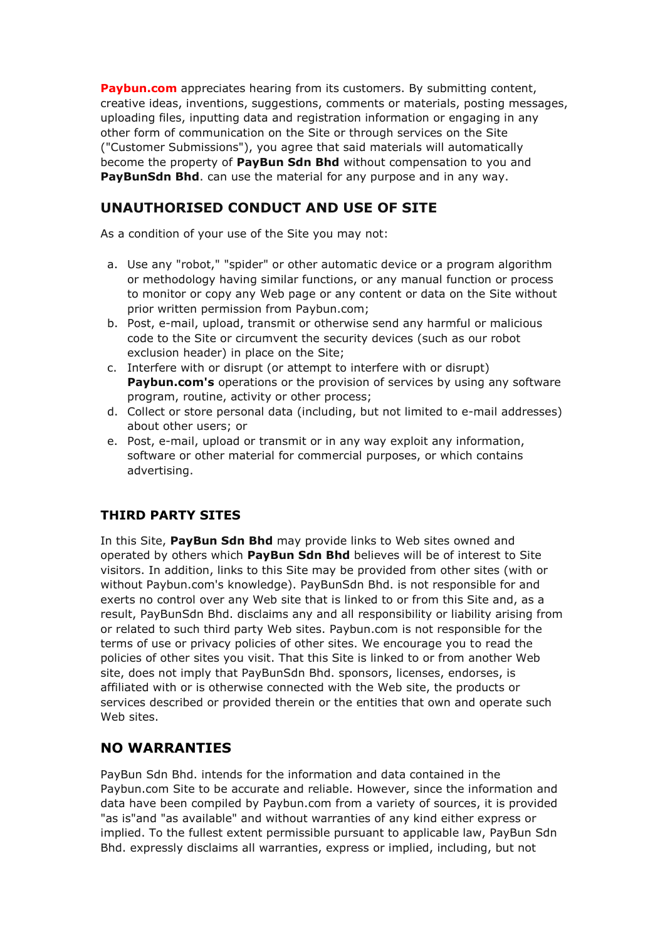**Paybun.com** appreciates hearing from its customers. By submitting content, creative ideas, inventions, suggestions, comments or materials, posting messages, uploading files, inputting data and registration information or engaging in any other form of communication on the Site or through services on the Site ("Customer Submissions"), you agree that said materials will automatically become the property of **PayBun Sdn Bhd** without compensation to you and PayBunSdn Bhd. can use the material for any purpose and in any way.

## **UNAUTHORISED CONDUCT AND USE OF SITE**

As a condition of your use of the Site you may not:

- a. Use any "robot," "spider" or other automatic device or a program algorithm or methodology having similar functions, or any manual function or process to monitor or copy any Web page or any content or data on the Site without prior written permission from Paybun.com;
- b. Post, e-mail, upload, transmit or otherwise send any harmful or malicious code to the Site or circumvent the security devices (such as our robot exclusion header) in place on the Site;
- c. Interfere with or disrupt (or attempt to interfere with or disrupt) **Paybun.com's** operations or the provision of services by using any software program, routine, activity or other process;
- d. Collect or store personal data (including, but not limited to e-mail addresses) about other users; or
- e. Post, e-mail, upload or transmit or in any way exploit any information, software or other material for commercial purposes, or which contains advertising.

## **THIRD PARTY SITES**

In this Site, **PayBun Sdn Bhd** may provide links to Web sites owned and operated by others which **PayBun Sdn Bhd** believes will be of interest to Site visitors. In addition, links to this Site may be provided from other sites (with or without Paybun.com's knowledge). PayBunSdn Bhd. is not responsible for and exerts no control over any Web site that is linked to or from this Site and, as a result, PayBunSdn Bhd. disclaims any and all responsibility or liability arising from or related to such third party Web sites. Paybun.com is not responsible for the terms of use or privacy policies of other sites. We encourage you to read the policies of other sites you visit. That this Site is linked to or from another Web site, does not imply that PayBunSdn Bhd. sponsors, licenses, endorses, is affiliated with or is otherwise connected with the Web site, the products or services described or provided therein or the entities that own and operate such Web sites.

## **NO WARRANTIES**

PayBun Sdn Bhd. intends for the information and data contained in the Paybun.com Site to be accurate and reliable. However, since the information and data have been compiled by Paybun.com from a variety of sources, it is provided "as is"and "as available" and without warranties of any kind either express or implied. To the fullest extent permissible pursuant to applicable law, PayBun Sdn Bhd. expressly disclaims all warranties, express or implied, including, but not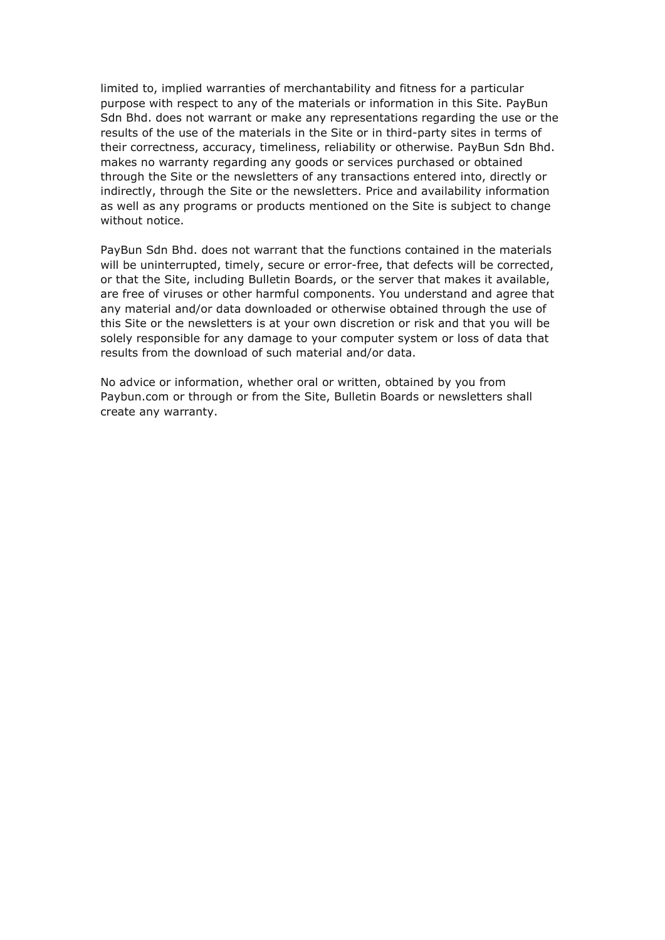limited to, implied warranties of merchantability and fitness for a particular purpose with respect to any of the materials or information in this Site. PayBun Sdn Bhd. does not warrant or make any representations regarding the use or the results of the use of the materials in the Site or in third-party sites in terms of their correctness, accuracy, timeliness, reliability or otherwise. PayBun Sdn Bhd. makes no warranty regarding any goods or services purchased or obtained through the Site or the newsletters of any transactions entered into, directly or indirectly, through the Site or the newsletters. Price and availability information as well as any programs or products mentioned on the Site is subject to change without notice.

PayBun Sdn Bhd. does not warrant that the functions contained in the materials will be uninterrupted, timely, secure or error-free, that defects will be corrected, or that the Site, including Bulletin Boards, or the server that makes it available, are free of viruses or other harmful components. You understand and agree that any material and/or data downloaded or otherwise obtained through the use of this Site or the newsletters is at your own discretion or risk and that you will be solely responsible for any damage to your computer system or loss of data that results from the download of such material and/or data.

No advice or information, whether oral or written, obtained by you from Paybun.com or through or from the Site, Bulletin Boards or newsletters shall create any warranty.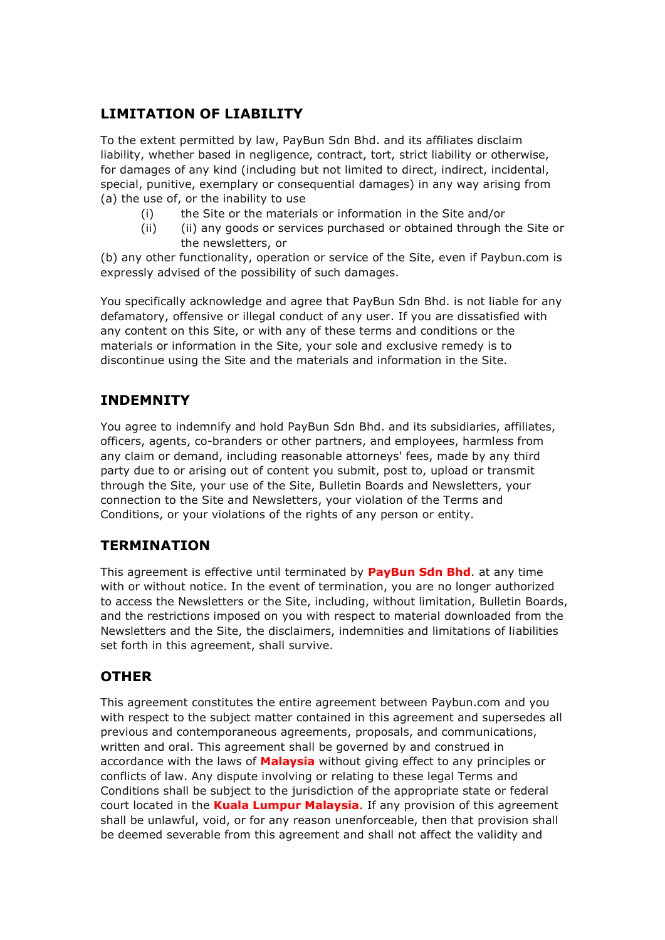### **LIMITATION OF LIABILITY**

To the extent permitted by law, PayBun Sdn Bhd. and its affiliates disclaim liability, whether based in negligence, contract, tort, strict liability or otherwise, for damages of any kind (including but not limited to direct, indirect, incidental, special, punitive, exemplary or consequential damages) in any way arising from (a) the use of, or the inability to use

- (i) the Site or the materials or information in the Site and/or
- (ii) (ii) any goods or services purchased or obtained through the Site or the newsletters, or

(b) any other functionality, operation or service of the Site, even if Paybun.com is expressly advised of the possibility of such damages.

You specifically acknowledge and agree that PayBun Sdn Bhd. is not liable for any defamatory, offensive or illegal conduct of any user. If you are dissatisfied with any content on this Site, or with any of these terms and conditions or the materials or information in the Site, your sole and exclusive remedy is to discontinue using the Site and the materials and information in the Site.

#### **INDEMNITY**

You agree to indemnify and hold PayBun Sdn Bhd. and its subsidiaries, affiliates, officers, agents, co-branders or other partners, and employees, harmless from any claim or demand, including reasonable attorneys' fees, made by any third party due to or arising out of content you submit, post to, upload or transmit through the Site, your use of the Site, Bulletin Boards and Newsletters, your connection to the Site and Newsletters, your violation of the Terms and Conditions, or your violations of the rights of any person or entity.

#### **TERMINATION**

This agreement is effective until terminated by **PayBun Sdn Bhd**. at any time with or without notice. In the event of termination, you are no longer authorized to access the Newsletters or the Site, including, without limitation, Bulletin Boards, and the restrictions imposed on you with respect to material downloaded from the Newsletters and the Site, the disclaimers, indemnities and limitations of liabilities set forth in this agreement, shall survive.

#### **OTHER**

This agreement constitutes the entire agreement between Paybun.com and you with respect to the subject matter contained in this agreement and supersedes all previous and contemporaneous agreements, proposals, and communications, written and oral. This agreement shall be governed by and construed in accordance with the laws of **Malaysia** without giving effect to any principles or conflicts of law. Any dispute involving or relating to these legal Terms and Conditions shall be subject to the jurisdiction of the appropriate state or federal court located in the **Kuala Lumpur Malaysia**. If any provision of this agreement shall be unlawful, void, or for any reason unenforceable, then that provision shall be deemed severable from this agreement and shall not affect the validity and